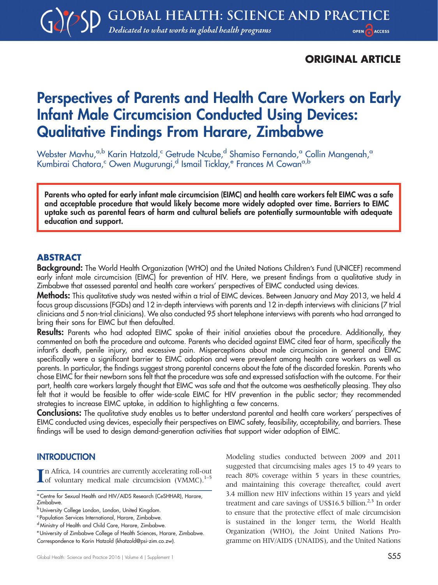## ORIGINAL ARTICLE

# Perspectives of Parents and Health Care Workers on Early Infant Male Circumcision Conducted Using Devices: Qualitative Findings From Harare, Zimbabwe

Webster Mavhu,<sup>a,b</sup> Karin Hatzold,<sup>c</sup> Getrude Ncube,<sup>d</sup> Shamiso Fernando,<sup>a</sup> Collin Mangenah,<sup>a</sup> Kumbirai Chatora,<sup>c</sup> Owen Mugurungi,<sup>d</sup> Ismail Ticklay,<sup>e</sup> Frances M Cowan<sup>a,b</sup>

Parents who opted for early infant male circumcision (EIMC) and health care workers felt EIMC was a safe and acceptable procedure that would likely become more widely adopted over time. Barriers to EIMC uptake such as parental fears of harm and cultural beliefs are potentially surmountable with adequate education and support.

#### ABSTRACT

**Background:** The World Health Organization (WHO) and the United Nations Children's Fund (UNICEF) recommend early infant male circumcision (EIMC) for prevention of HIV. Here, we present findings from a qualitative study in Zimbabwe that assessed parental and health care workers' perspectives of EIMC conducted using devices.

Methods: This qualitative study was nested within a trial of EIMC devices. Between January and May 2013, we held 4 focus group discussions (FGDs) and 12 in-depth interviews with parents and 12 in-depth interviews with clinicians (7 trial clinicians and 5 non-trial clinicians). We also conducted 95 short telephone interviews with parents who had arranged to bring their sons for EIMC but then defaulted.

Results: Parents who had adopted EIMC spoke of their initial anxieties about the procedure. Additionally, they commented on both the procedure and outcome. Parents who decided against EIMC cited fear of harm, specifically the infant's death, penile injury, and excessive pain. Misperceptions about male circumcision in general and EIMC specifically were a significant barrier to EIMC adoption and were prevalent among health care workers as well as parents. In particular, the findings suggest strong parental concerns about the fate of the discarded foreskin. Parents who chose EIMC for their newborn sons felt that the procedure was safe and expressed satisfaction with the outcome. For their part, health care workers largely thought that EIMC was safe and that the outcome was aesthetically pleasing. They also felt that it would be feasible to offer wide-scale EIMC for HIV prevention in the public sector; they recommended strategies to increase EIMC uptake, in addition to highlighting a few concerns.

Conclusions: The qualitative study enables us to better understand parental and health care workers' perspectives of EIMC conducted using devices, especially their perspectives on EIMC safety, feasibility, acceptability, and barriers. These findings will be used to design demand-generation activities that support wider adoption of EIMC.

#### **INTRODUCTION**

In Africa, 14 countries are currently accelerating roll-out of voluntary medical male circumcision (VMMC).<sup>1–5</sup> of voluntary medical male circumcision (VMMC).<sup>1-5</sup>

eUniversity of Zimbabwe College of Health Sciences, Harare, Zimbabwe. Correspondence to Karin Hatzold ([khatzold@psi-zim.co.zw\)](mailto:khatzold@psi-zim.co.zw).

Modeling studies conducted between 2009 and 2011 suggested that circumcising males ages 15 to 49 years to reach 80% coverage within 5 years in these countries, and maintaining this coverage thereafter, could avert 3.4 million new HIV infections within 15 years and yield treatment and care savings of US\$16.5 billion. $2,3$  In order to ensure that the protective effect of male circumcision is sustained in the longer term, the World Health Organization (WHO), the Joint United Nations Programme on HIV/AIDS (UNAIDS), and the United Nations

<sup>&</sup>lt;sup>a</sup> Centre for Sexual Health and HIV/AIDS Research (CeSHHAR), Harare, **Zimbabwe** 

bUniversity College London, London, United Kingdom.

c Population Services International, Harare, Zimbabwe.

d Ministry of Health and Child Care, Harare, Zimbabwe.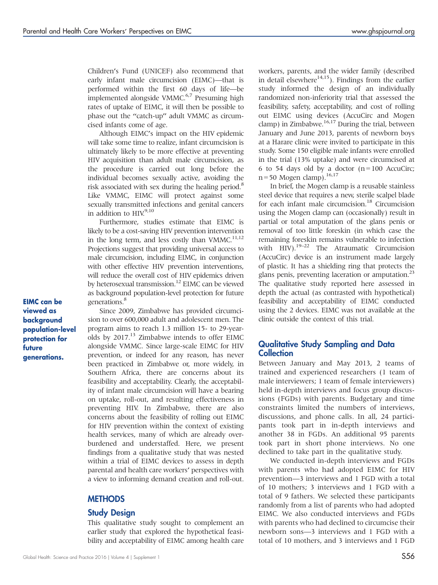Children's Fund (UNICEF) also recommend that early infant male circumcision (EIMC)—that is performed within the first 60 days of life—be implemented alongside VMMC.<sup>6,7</sup> Presuming high rates of uptake of EIMC, it will then be possible to phase out the "catch-up" adult VMMC as circumcised infants come of age.

Although EIMC's impact on the HIV epidemic will take some time to realize, infant circumcision is ultimately likely to be more effective at preventing HIV acquisition than adult male circumcision, as the procedure is carried out long before the individual becomes sexually active, avoiding the risk associated with sex during the healing period.<sup>8</sup> Like VMMC, EIMC will protect against some sexually transmitted infections and genital cancers in addition to  $HIV^{9,10}$ 

Furthermore, studies estimate that EIMC is likely to be a cost-saving HIV prevention intervention in the long term, and less costly than VMMC. $^{11,12}$ Projections suggest that providing universal access to male circumcision, including EIMC, in conjunction with other effective HIV prevention interventions, will reduce the overall cost of HIV epidemics driven by heterosexual transmission.<sup>12</sup> EIMC can be viewed as background population-level protection for future generations.<sup>8</sup>

Since 2009, Zimbabwe has provided circumcision to over 600,000 adult and adolescent men. The program aims to reach 1.3 million 15- to 29-yearolds by 2017.<sup>13</sup> Zimbabwe intends to offer EIMC alongside VMMC. Since large-scale EIMC for HIV prevention, or indeed for any reason, has never been practiced in Zimbabwe or, more widely, in Southern Africa, there are concerns about its feasibility and acceptability. Clearly, the acceptability of infant male circumcision will have a bearing on uptake, roll-out, and resulting effectiveness in preventing HIV. In Zimbabwe, there are also concerns about the feasibility of rolling out EIMC for HIV prevention within the context of existing health services, many of which are already overburdened and understaffed. Here, we present findings from a qualitative study that was nested within a trial of EIMC devices to assess in depth parental and health care workers' perspectives with a view to informing demand creation and roll-out.

#### **METHODS**

#### Study Design

This qualitative study sought to complement an earlier study that explored the hypothetical feasibility and acceptability of EIMC among health care

Global Health: Science and Practice 2016 | Volume 4 | Supplement 1 S566 S566 September 1 S566 S566 S566 S566 S

EIMC can be viewed as background population-level protection for future generations.

workers, parents, and the wider family (described in detail elsewhere<sup>14,15</sup>). Findings from the earlier study informed the design of an individually randomized non-inferiority trial that assessed the feasibility, safety, acceptability, and cost of rolling out EIMC using devices (AccuCirc and Mogen clamp) in Zimbabwe. $16,17$  During the trial, between January and June 2013, parents of newborn boys at a Harare clinic were invited to participate in this study. Some 150 eligible male infants were enrolled in the trial (13% uptake) and were circumcised at 6 to 54 days old by a doctor  $(n = 100$  AccuCirc;  $n = 50$  Mogen clamp<sup>16,17</sup>

In brief, the Mogen clamp is a reusable stainless steel device that requires a new, sterile scalpel blade for each infant male circumcision.<sup>18</sup> Circumcision using the Mogen clamp can (occasionally) result in partial or total amputation of the glans penis or removal of too little foreskin (in which case the remaining foreskin remains vulnerable to infection with  $HIV$ ).<sup>19–22</sup> The Atraumatic Circumcision (AccuCirc) device is an instrument made largely of plastic. It has a shielding ring that protects the glans penis, preventing laceration or amputation.<sup>23</sup> The qualitative study reported here assessed in depth the actual (as contrasted with hypothetical) feasibility and acceptability of EIMC conducted using the 2 devices. EIMC was not available at the clinic outside the context of this trial.

#### Qualitative Study Sampling and Data **Collection**

Between January and May 2013, 2 teams of trained and experienced researchers (1 team of male interviewers; 1 team of female interviewers) held in-depth interviews and focus group discussions (FGDs) with parents. Budgetary and time constraints limited the numbers of interviews, discussions, and phone calls. In all, 24 participants took part in in-depth interviews and another 38 in FGDs. An additional 95 parents took part in short phone interviews. No one declined to take part in the qualitative study.

We conducted in-depth interviews and FGDs with parents who had adopted EIMC for HIV prevention—3 interviews and 1 FGD with a total of 10 mothers; 3 interviews and 1 FGD with a total of 9 fathers. We selected these participants randomly from a list of parents who had adopted EIMC. We also conducted interviews and FGDs with parents who had declined to circumcise their newborn sons—3 interviews and 1 FGD with a total of 10 mothers, and 3 interviews and 1 FGD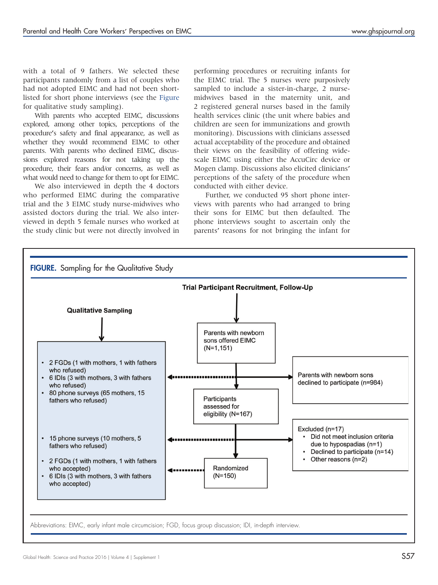<span id="page-2-0"></span>with a total of 9 fathers. We selected these participants randomly from a list of couples who had not adopted EIMC and had not been shortlisted for short phone interviews (see the Figure for qualitative study sampling).

With parents who accepted EIMC, discussions explored, among other topics, perceptions of the procedure's safety and final appearance, as well as whether they would recommend EIMC to other parents. With parents who declined EIMC, discussions explored reasons for not taking up the procedure, their fears and/or concerns, as well as what would need to change for them to opt for EIMC.

We also interviewed in depth the 4 doctors who performed EIMC during the comparative trial and the 3 EIMC study nurse-midwives who assisted doctors during the trial. We also interviewed in depth 5 female nurses who worked at the study clinic but were not directly involved in

performing procedures or recruiting infants for the EIMC trial. The 5 nurses were purposively sampled to include a sister-in-charge, 2 nursemidwives based in the maternity unit, and 2 registered general nurses based in the family health services clinic (the unit where babies and children are seen for immunizations and growth monitoring). Discussions with clinicians assessed actual acceptability of the procedure and obtained their views on the feasibility of offering widescale EIMC using either the AccuCirc device or Mogen clamp. Discussions also elicited clinicians' perceptions of the safety of the procedure when conducted with either device.

Further, we conducted 95 short phone interviews with parents who had arranged to bring their sons for EIMC but then defaulted. The phone interviews sought to ascertain only the parents' reasons for not bringing the infant for

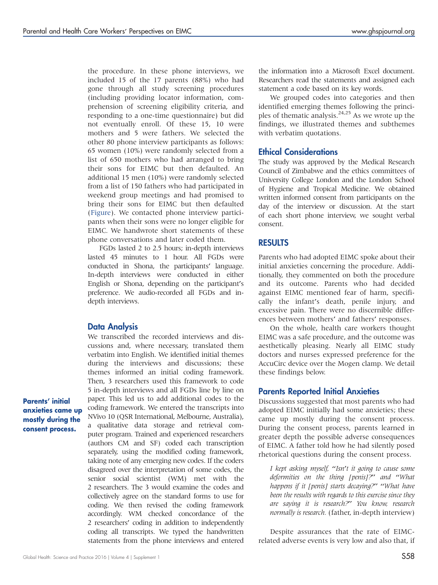the procedure. In these phone interviews, we included 15 of the 17 parents (88%) who had gone through all study screening procedures (including providing locator information, comprehension of screening eligibility criteria, and responding to a one-time questionnaire) but did not eventually enroll. Of these 15, 10 were mothers and 5 were fathers. We selected the other 80 phone interview participants as follows: 65 women (10%) were randomly selected from a list of 650 mothers who had arranged to bring their sons for EIMC but then defaulted. An additional 15 men (10%) were randomly selected from a list of 150 fathers who had participated in weekend group meetings and had promised to bring their sons for EIMC but then defaulted [\(Figure\)](#page-2-0). We contacted phone interview participants when their sons were no longer eligible for EIMC. We handwrote short statements of these phone conversations and later coded them.

FGDs lasted 2 to 2.5 hours; in-depth interviews lasted 45 minutes to 1 hour. All FGDs were conducted in Shona, the participants' language. In-depth interviews were conducted in either English or Shona, depending on the participant's preference. We audio-recorded all FGDs and indepth interviews.

#### Data Analysis

We transcribed the recorded interviews and discussions and, where necessary, translated them verbatim into English. We identified initial themes during the interviews and discussions; these themes informed an initial coding framework. Then, 3 researchers used this framework to code 5 in-depth interviews and all FGDs line by line on paper. This led us to add additional codes to the coding framework. We entered the transcripts into NVivo 10 (QSR International, Melbourne, Australia), a qualitative data storage and retrieval computer program. Trained and experienced researchers (authors CM and SF) coded each transcription separately, using the modified coding framework, taking note of any emerging new codes. If the coders disagreed over the interpretation of some codes, the senior social scientist (WM) met with the 2 researchers. The 3 would examine the codes and collectively agree on the standard forms to use for coding. We then revised the coding framework accordingly. WM checked concordance of the 2 researchers' coding in addition to independently coding all transcripts. We typed the handwritten statements from the phone interviews and entered the information into a Microsoft Excel document. Researchers read the statements and assigned each statement a code based on its key words.

We grouped codes into categories and then identified emerging themes following the principles of thematic analysis.<sup>24,25</sup> As we wrote up the findings, we illustrated themes and subthemes with verbatim quotations.

#### Ethical Considerations

The study was approved by the Medical Research Council of Zimbabwe and the ethics committees of University College London and the London School of Hygiene and Tropical Medicine. We obtained written informed consent from participants on the day of the interview or discussion. At the start of each short phone interview, we sought verbal consent.

#### RESULTS

Parents who had adopted EIMC spoke about their initial anxieties concerning the procedure. Additionally, they commented on both the procedure and its outcome. Parents who had decided against EIMC mentioned fear of harm, specifically the infant's death, penile injury, and excessive pain. There were no discernible differences between mothers' and fathers' responses.

On the whole, health care workers thought EIMC was a safe procedure, and the outcome was aesthetically pleasing. Nearly all EIMC study doctors and nurses expressed preference for the AccuCirc device over the Mogen clamp. We detail these findings below.

#### Parents Reported Initial Anxieties

Discussions suggested that most parents who had adopted EIMC initially had some anxieties; these came up mostly during the consent process. During the consent process, parents learned in greater depth the possible adverse consequences of EIMC. A father told how he had silently posed rhetorical questions during the consent process.

I kept asking myself, ''Isn't it going to cause some deformities on the thing [penis]?'' and ''What happens if it [penis] starts decaying?" "What have been the results with regards to this exercise since they are saying it is research?'' You know, research normally is research. (father, in-depth interview)

Despite assurances that the rate of EIMCrelated adverse events is very low and also that, if

Parents' initial anxieties came up mostly during the consent process.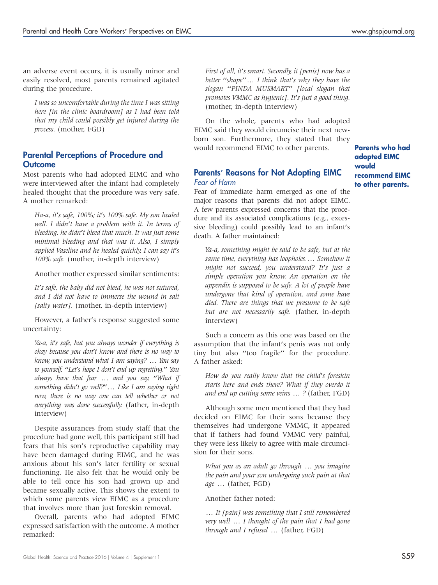an adverse event occurs, it is usually minor and easily resolved, most parents remained agitated during the procedure.

I was so uncomfortable during the time I was sitting here *[in the clinic boardroom]* as *I had been told* that my child could possibly get injured during the process. (mother, FGD)

#### Parental Perceptions of Procedure and **Outcome**

Most parents who had adopted EIMC and who were interviewed after the infant had completely healed thought that the procedure was very safe. A mother remarked:

Ha-a, it's safe, 100%; it's 100% safe. My son healed well. I didn't have a problem with it. In terms of bleeding, he didn't bleed that much. It was just some minimal bleeding and that was it. Also, I simply applied Vaseline and he healed quickly. I can say it's 100% safe. (mother, in-depth interview)

Another mother expressed similar sentiments:

It's safe, the baby did not bleed, he was not sutured, and I did not have to immerse the wound in salt [salty water]. (mother, in-depth interview)

However, a father's response suggested some uncertainty:

Ya-a, it's safe, but you always wonder if everything is okay because you don't know and there is no way to know, you understand what I am saying?  $\ldots$  You say to yourself, ''Let's hope I don't end up regretting.'' You always have that fear ... and you say, "What if something didn't go well?" ... Like I am saying right now, there is no way one can tell whether or not everything was done successfully. (father, in-depth interview)

Despite assurances from study staff that the procedure had gone well, this participant still had fears that his son's reproductive capability may have been damaged during EIMC, and he was anxious about his son's later fertility or sexual functioning. He also felt that he would only be able to tell once his son had grown up and became sexually active. This shows the extent to which some parents view EIMC as a procedure that involves more than just foreskin removal.

Overall, parents who had adopted EIMC expressed satisfaction with the outcome. A mother remarked:

First of all, it's smart. Secondly, it [penis] now has a better "shape"... I think that's why they have the slogan "PINDA MUSMART" [local slogan that promotes VMMC as hygienic]. It's just a good thing. (mother, in-depth interview)

On the whole, parents who had adopted EIMC said they would circumcise their next newborn son. Furthermore, they stated that they would recommend EIMC to other parents.

#### Parents' Reasons for Not Adopting EIMC Fear of Harm

Fear of immediate harm emerged as one of the major reasons that parents did not adopt EIMC. A few parents expressed concerns that the procedure and its associated complications (e.g., excessive bleeding) could possibly lead to an infant's death. A father maintained:

Ya-a, something might be said to be safe, but at the same time, everything has loopholes.... Somehow it might not succeed, you understand? It's just a simple operation you know. An operation on the appendix is supposed to be safe. A lot of people have undergone that kind of operation, and some have died. There are things that we presume to be safe but are not necessarily safe. (father, in-depth interview)

Such a concern as this one was based on the assumption that the infant's penis was not only tiny but also ''too fragile'' for the procedure. A father asked:

How do you really know that the child's foreskin starts here and ends there? What if they overdo it and end up cutting some veins  $\ldots$  ? (father, FGD)

Although some men mentioned that they had decided on EIMC for their sons because they themselves had undergone VMMC, it appeared that if fathers had found VMMC very painful, they were less likely to agree with male circumcision for their sons.

What you as an adult go through ... you imagine the pain and your son undergoing such pain at that  $age \dots$  (father, FGD)

Another father noted:

... It [pain] was something that I still remembered very well  $\ldots$  I thought of the pain that I had gone through and I refused  $\ldots$  (father, FGD)

Parents who had adopted EIMC would recommend EIMC to other parents.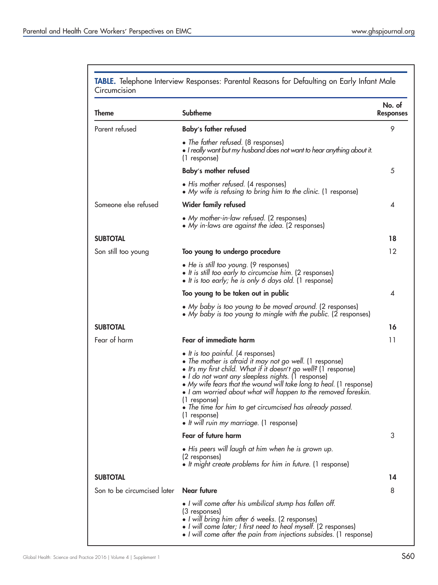<span id="page-5-0"></span>

| Theme                       | <b>Subtheme</b>                                                                                                                                                                                                                                                                                                                                                                                                                                                                                          | No. of<br><b>Responses</b> |
|-----------------------------|----------------------------------------------------------------------------------------------------------------------------------------------------------------------------------------------------------------------------------------------------------------------------------------------------------------------------------------------------------------------------------------------------------------------------------------------------------------------------------------------------------|----------------------------|
| Parent refused              | <b>Baby's father refused</b>                                                                                                                                                                                                                                                                                                                                                                                                                                                                             | 9                          |
|                             | • The father refused. (8 responses)<br>. I really want but my husband does not want to hear anything about it.<br>(1 response)                                                                                                                                                                                                                                                                                                                                                                           |                            |
|                             | Baby's mother refused                                                                                                                                                                                                                                                                                                                                                                                                                                                                                    | 5                          |
|                             | • His mother refused. (4 responses)<br>• My wife is refusing to bring him to the clinic. (1 response)                                                                                                                                                                                                                                                                                                                                                                                                    |                            |
| Someone else refused        | Wider family refused                                                                                                                                                                                                                                                                                                                                                                                                                                                                                     | 4                          |
|                             | • My mother-in-law refused. (2 responses)<br>• My in-laws are against the idea. (2 responses)                                                                                                                                                                                                                                                                                                                                                                                                            |                            |
| <b>SUBTOTAL</b>             |                                                                                                                                                                                                                                                                                                                                                                                                                                                                                                          | 18                         |
| Son still too young         | Too young to undergo procedure                                                                                                                                                                                                                                                                                                                                                                                                                                                                           | 12                         |
|                             | • He is still too young. (9 responses)<br>• It is still too early to circumcise him. (2 responses)<br>• It is too early; he is only 6 days old. (1 response)                                                                                                                                                                                                                                                                                                                                             |                            |
|                             | Too young to be taken out in public                                                                                                                                                                                                                                                                                                                                                                                                                                                                      | 4                          |
|                             | • My baby is too young to be moved around. (2 responses)<br>• My baby is too young to mingle with the public. (2 responses)                                                                                                                                                                                                                                                                                                                                                                              |                            |
| <b>SUBTOTAL</b>             |                                                                                                                                                                                                                                                                                                                                                                                                                                                                                                          | 16                         |
| Fear of harm                | Fear of immediate harm                                                                                                                                                                                                                                                                                                                                                                                                                                                                                   | 11                         |
|                             | • It is too painful. (4 responses)<br>• The mother is afraid it may not go well. (1 response)<br>• It's my first child. What if it doesn't go well? (1 response)<br>• I do not want any sleepless nights. (1 response)<br>• My wife fears that the wound will take long to heal. (1 response)<br>• I am worried about what will happen to the removed foreskin.<br>(1 response)<br>• The time for him to get circumcised has already passed.<br>(1 response)<br>· It will ruin my marriage. (1 response) |                            |
|                             | Fear of future harm                                                                                                                                                                                                                                                                                                                                                                                                                                                                                      | 3                          |
|                             | • His peers will laugh at him when he is grown up.<br>(2 responses)<br>• It might create problems for him in future. (1 response)                                                                                                                                                                                                                                                                                                                                                                        |                            |
| <b>SUBTOTAL</b>             |                                                                                                                                                                                                                                                                                                                                                                                                                                                                                                          | 14                         |
| Son to be circumcised later | Near future                                                                                                                                                                                                                                                                                                                                                                                                                                                                                              | 8                          |
|                             | • I will come after his umbilical stump has fallen off.<br>(3 responses)<br>• I will bring him after 6 weeks. (2 responses)<br>• I will come later; I first need to heal myself. (2 responses)<br>• I will come after the pain from injections subsides. (1 response)                                                                                                                                                                                                                                    |                            |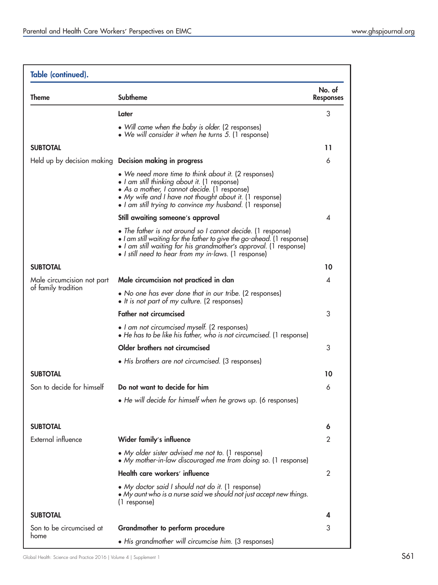| Table (continued).               |                                                                                                                                                                                                                                                                             |                            |
|----------------------------------|-----------------------------------------------------------------------------------------------------------------------------------------------------------------------------------------------------------------------------------------------------------------------------|----------------------------|
| <b>Theme</b>                     | <b>Subtheme</b>                                                                                                                                                                                                                                                             | No. of<br><b>Responses</b> |
|                                  | Later                                                                                                                                                                                                                                                                       | 3                          |
|                                  | • Will come when the baby is older. (2 responses)<br>• We will consider it when he turns 5. (1 response)                                                                                                                                                                    |                            |
| <b>SUBTOTAL</b>                  |                                                                                                                                                                                                                                                                             | 11                         |
|                                  | Held up by decision making Decision making in progress                                                                                                                                                                                                                      | 6                          |
|                                  | • We need more time to think about it. (2 responses)<br>• I am still thinking about it. (1 response)<br>• As a mother, I cannot decide. (1 response)<br>• My wife and I have not thought about it. (1 response)<br>• I am still trying to convince my husband. (1 response) |                            |
|                                  | Still awaiting someone's approval                                                                                                                                                                                                                                           | 4                          |
|                                  | • The father is not around so I cannot decide. (1 response)<br>• I am still waiting for the father to give the go-ahead. (1 response)<br>• I am still waiting for his grandmother's approval. (1 response)<br>• I still need to hear from my in-laws. (1 response)          |                            |
| <b>SUBTOTAL</b>                  |                                                                                                                                                                                                                                                                             | 10                         |
| Male circumcision not part       | Male circumcision not practiced in clan                                                                                                                                                                                                                                     | 4                          |
| of family tradition              | • No one has ever done that in our tribe. (2 responses)<br>• It is not part of my culture. (2 responses)                                                                                                                                                                    |                            |
|                                  | Father not circumcised                                                                                                                                                                                                                                                      | 3                          |
|                                  | • I am not circumcised myself. (2 responses)<br>• He has to be like his father, who is not circumcised. (1 response)                                                                                                                                                        |                            |
|                                  | Older brothers not circumcised                                                                                                                                                                                                                                              | 3                          |
|                                  | • His brothers are not circumcised. (3 responses)                                                                                                                                                                                                                           |                            |
| <b>SUBTOTAL</b>                  |                                                                                                                                                                                                                                                                             | 10                         |
| Son to decide for himself        | Do not want to decide for him                                                                                                                                                                                                                                               | 6                          |
|                                  | • He will decide for himself when he grows up. (6 responses)                                                                                                                                                                                                                |                            |
| <b>SUBTOTAL</b>                  |                                                                                                                                                                                                                                                                             | 6                          |
| External influence               | Wider family's influence                                                                                                                                                                                                                                                    | 2                          |
|                                  | • My older sister advised me not to. (1 response)<br>• My mother-in-law discouraged me from doing so. (1 response)                                                                                                                                                          |                            |
|                                  | Health care workers' influence                                                                                                                                                                                                                                              | 2                          |
|                                  | • My doctor said I should not do it. (1 response)<br>• My aunt who is a nurse said we should not just accept new things.<br>(1 response)                                                                                                                                    |                            |
| <b>SUBTOTAL</b>                  |                                                                                                                                                                                                                                                                             | 4                          |
| Son to be circumcised at<br>home | Grandmother to perform procedure                                                                                                                                                                                                                                            | 3                          |
|                                  | • His grandmother will circumcise him. (3 responses)                                                                                                                                                                                                                        |                            |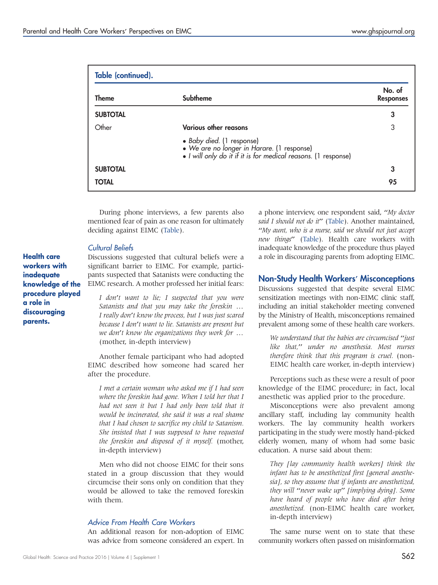| Table (continued). |                                                                                                                                           |                            |
|--------------------|-------------------------------------------------------------------------------------------------------------------------------------------|----------------------------|
| <b>Theme</b>       | <b>Subtheme</b>                                                                                                                           | No. of<br><b>Responses</b> |
| <b>SUBTOTAL</b>    |                                                                                                                                           | 3                          |
| Other              | Various other reasons                                                                                                                     | 3                          |
|                    | · Baby died. (1 response)<br>• We are no longer in Harare. (1 response)<br>• I will only do it if it is for medical reasons. (1 response) |                            |
| <b>SUBTOTAL</b>    |                                                                                                                                           | 3                          |
| <b>TOTAL</b>       |                                                                                                                                           | 95                         |

During phone interviews, a few parents also mentioned fear of pain as one reason for ultimately deciding against EIMC [\(Table\)](#page-5-0).

#### Cultural Beliefs

Discussions suggested that cultural beliefs were a significant barrier to EIMC. For example, participants suspected that Satanists were conducting the EIMC research. A mother professed her initial fears:

I don't want to lie; I suspected that you were Satanists and that you may take the foreskin  $\ldots$ I really don't know the process, but I was just scared because I don't want to lie. Satanists are present but we don't know the organizations they work for  $\ldots$ (mother, in-depth interview)

Another female participant who had adopted EIMC described how someone had scared her after the procedure.

I met a certain woman who asked me if I had seen where the foreskin had gone. When I told her that I had not seen it but I had only been told that it would be incinerated, she said it was a real shame that I had chosen to sacrifice my child to Satanism. She insisted that I was supposed to have requested the foreskin and disposed of it myself. (mother, in-depth interview)

Men who did not choose EIMC for their sons stated in a group discussion that they would circumcise their sons only on condition that they would be allowed to take the removed foreskin with them.

#### Advice From Health Care Workers

An additional reason for non-adoption of EIMC was advice from someone considered an expert. In

a phone interview, one respondent said, ''My doctor said I should not do it" ([Table\)](#page-5-0). Another maintained, ''My aunt, who is a nurse, said we should not just accept new things'' ([Table\)](#page-5-0). Health care workers with inadequate knowledge of the procedure thus played a role in discouraging parents from adopting EIMC.

#### Non-Study Health Workers' Misconceptions

Discussions suggested that despite several EIMC sensitization meetings with non-EIMC clinic staff, including an initial stakeholder meeting convened by the Ministry of Health, misconceptions remained prevalent among some of these health care workers.

We understand that the babies are circumcised "just like that,'' under no anesthesia. Most nurses therefore think that this program is cruel. (non-EIMC health care worker, in-depth interview)

Perceptions such as these were a result of poor knowledge of the EIMC procedure; in fact, local anesthetic was applied prior to the procedure.

Misconceptions were also prevalent among ancillary staff, including lay community health workers. The lay community health workers participating in the study were mostly hand-picked elderly women, many of whom had some basic education. A nurse said about them:

They [lay community health workers] think the infant has to be anesthetized first [general anesthesia], so they assume that if infants are anesthetized, they will ''never wake up'' [implying dying]. Some have heard of people who have died after being anesthetized. (non-EIMC health care worker, in-depth interview)

The same nurse went on to state that these community workers often passed on misinformation

workers with **inadequate** knowledge of the procedure played a role in discouraging parents.

Health care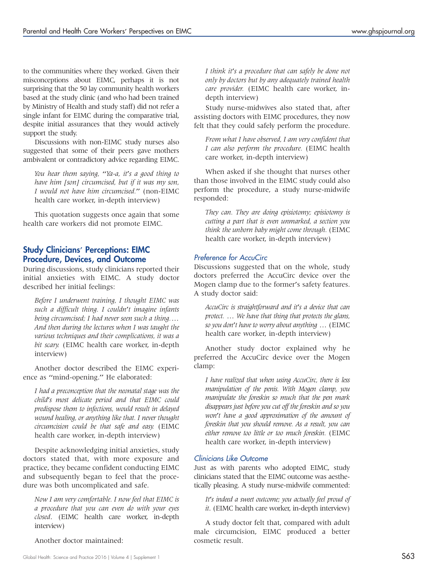to the communities where they worked. Given their misconceptions about EIMC, perhaps it is not surprising that the 50 lay community health workers based at the study clinic (and who had been trained by Ministry of Health and study staff) did not refer a single infant for EIMC during the comparative trial, despite initial assurances that they would actively support the study.

Discussions with non-EIMC study nurses also suggested that some of their peers gave mothers ambivalent or contradictory advice regarding EIMC.

You hear them saying, ''Ya-a, it's a good thing to have him [son] circumcised, but if it was my son, I would not have him circumcised.'' (non-EIMC health care worker, in-depth interview)

This quotation suggests once again that some health care workers did not promote EIMC.

#### Study Clinicians' Perceptions: EIMC Procedure, Devices, and Outcome

During discussions, study clinicians reported their initial anxieties with EIMC. A study doctor described her initial feelings:

Before I underwent training, I thought EIMC was such a difficult thing. I couldn't imagine infants being circumcised; I had never seen such a thing.... And then during the lectures when I was taught the various techniques and their complications, it was a bit scary. (EIMC health care worker, in-depth interview)

Another doctor described the EIMC experience as ''mind-opening.'' He elaborated:

I had a preconception that the neonatal stage was the child's most delicate period and that EIMC could predispose them to infections, would result in delayed wound healing, or anything like that. I never thought circumcision could be that safe and easy. (EIMC health care worker, in-depth interview)

Despite acknowledging initial anxieties, study doctors stated that, with more exposure and practice, they became confident conducting EIMC and subsequently began to feel that the procedure was both uncomplicated and safe.

Now I am very comfortable. I now feel that EIMC is a procedure that you can even do with your eyes closed. (EIMC health care worker, in-depth interview)

Another doctor maintained:

I think it's a procedure that can safely be done not only by doctors but by any adequately trained health care provider. (EIMC health care worker, indepth interview)

Study nurse-midwives also stated that, after assisting doctors with EIMC procedures, they now felt that they could safely perform the procedure.

From what I have observed, I am very confident that I can also perform the procedure. (EIMC health care worker, in-depth interview)

When asked if she thought that nurses other than those involved in the EIMC study could also perform the procedure, a study nurse-midwife responded:

They can. They are doing episiotomy; episiotomy is cutting a part that is even unmarked, a section you think the unborn baby might come through. (EIMC health care worker, in-depth interview)

#### Preference for AccuCirc

Discussions suggested that on the whole, study doctors preferred the AccuCirc device over the Mogen clamp due to the former's safety features. A study doctor said:

AccuCirc is straightforward and it's a device that can protect.  $\ldots$  We have that thing that protects the glans, so you don't have to worry about anything  $\ldots$  (EIMC health care worker, in-depth interview)

Another study doctor explained why he preferred the AccuCirc device over the Mogen clamp:

I have realized that when using AccuCirc, there is less manipulation of the penis. With Mogen clamp, you manipulate the foreskin so much that the pen mark disappears just before you cut off the foreskin and so you won't have a good approximation of the amount of foreskin that you should remove. As a result, you can either remove too little or too much foreskin. (EIMC health care worker, in-depth interview)

#### Clinicians Like Outcome

Just as with parents who adopted EIMC, study clinicians stated that the EIMC outcome was aesthetically pleasing. A study nurse-midwife commented:

It's indeed a sweet outcome; you actually feel proud of  $it.$  (EIMC health care worker, in-depth interview)

A study doctor felt that, compared with adult male circumcision, EIMC produced a better cosmetic result.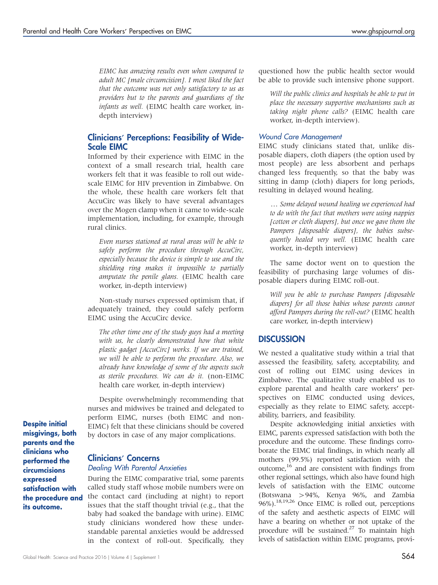EIMC has amazing results even when compared to adult MC [male circumcision]. I most liked the fact that the outcome was not only satisfactory to us as providers but to the parents and guardians of the infants as well. (EIMC health care worker, indepth interview)

### Clinicians' Perceptions: Feasibility of Wide-Scale EIMC

Informed by their experience with EIMC in the context of a small research trial, health care workers felt that it was feasible to roll out widescale EIMC for HIV prevention in Zimbabwe. On the whole, these health care workers felt that AccuCirc was likely to have several advantages over the Mogen clamp when it came to wide-scale implementation, including, for example, through rural clinics.

Even nurses stationed at rural areas will be able to safely perform the procedure through AccuCirc, especially because the device is simple to use and the shielding ring makes it impossible to partially amputate the penile glans. (EIMC health care worker, in-depth interview)

Non-study nurses expressed optimism that, if adequately trained, they could safely perform EIMC using the AccuCirc device.

The other time one of the study guys had a meeting with us, he clearly demonstrated how that white plastic gadget [AccuCirc] works. If we are trained, we will be able to perform the procedure. Also, we already have knowledge of some of the aspects such as sterile procedures. We can do it. (non-EIMC health care worker, in-depth interview)

Despite overwhelmingly recommending that nurses and midwives be trained and delegated to perform EIMC, nurses (both EIMC and non-EIMC) felt that these clinicians should be covered by doctors in case of any major complications.

Despite initial misgivings, both parents and the clinicians who performed the circumcisions expressed satisfaction with the procedure and its outcome.

#### Clinicians' Concerns Dealing With Parental Anxieties

During the EIMC comparative trial, some parents called study staff whose mobile numbers were on the contact card (including at night) to report issues that the staff thought trivial (e.g., that the baby had soaked the bandage with urine). EIMC study clinicians wondered how these understandable parental anxieties would be addressed in the context of roll-out. Specifically, they questioned how the public health sector would be able to provide such intensive phone support.

Will the public clinics and hospitals be able to put in place the necessary supportive mechanisms such as taking night phone calls? (EIMC health care worker, in-depth interview).

#### Wound Care Management

EIMC study clinicians stated that, unlike disposable diapers, cloth diapers (the option used by most people) are less absorbent and perhaps changed less frequently, so that the baby was sitting in damp (cloth) diapers for long periods, resulting in delayed wound healing.

... Some delayed wound healing we experienced had to do with the fact that mothers were using nappies [cotton or cloth diapers], but once we gave them the Pampers [disposable diapers], the babies subsequently healed very well. (EIMC health care worker, in-depth interview)

The same doctor went on to question the feasibility of purchasing large volumes of disposable diapers during EIMC roll-out.

Will you be able to purchase Pampers [disposable diapers] for all those babies whose parents cannot afford Pampers during the roll-out? (EIMC health care worker, in-depth interview)

#### **DISCUSSION**

We nested a qualitative study within a trial that assessed the feasibility, safety, acceptability, and cost of rolling out EIMC using devices in Zimbabwe. The qualitative study enabled us to explore parental and health care workers' perspectives on EIMC conducted using devices, especially as they relate to EIMC safety, acceptability, barriers, and feasibility.

Despite acknowledging initial anxieties with EIMC, parents expressed satisfaction with both the procedure and the outcome. These findings corroborate the EIMC trial findings, in which nearly all mothers (99.5%) reported satisfaction with the outcome,16 and are consistent with findings from other regional settings, which also have found high levels of satisfaction with the EIMC outcome (Botswana > 94%, Kenya 96%, and Zambia 96%).<sup>18,19,26</sup> Once EIMC is rolled out, perceptions of the safety and aesthetic aspects of EIMC will have a bearing on whether or not uptake of the procedure will be sustained.<sup>27</sup> To maintain high levels of satisfaction within EIMC programs, provi-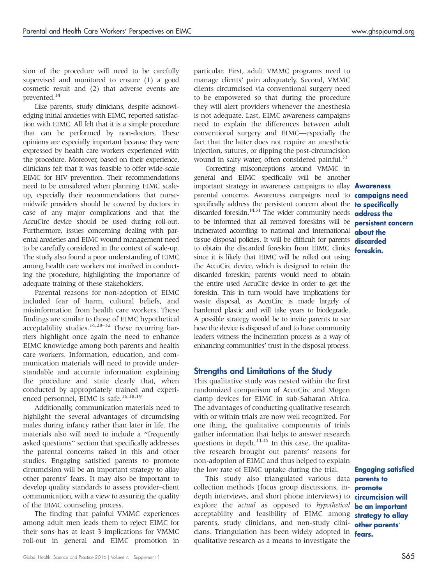sion of the procedure will need to be carefully supervised and monitored to ensure (1) a good cosmetic result and (2) that adverse events are prevented.14

Like parents, study clinicians, despite acknowledging initial anxieties with EIMC, reported satisfaction with EIMC. All felt that it is a simple procedure that can be performed by non-doctors. These opinions are especially important because they were expressed by health care workers experienced with the procedure. Moreover, based on their experience, clinicians felt that it was feasible to offer wide-scale EIMC for HIV prevention. Their recommendations need to be considered when planning EIMC scaleup, especially their recommendations that nursemidwife providers should be covered by doctors in case of any major complications and that the AccuCirc device should be used during roll-out. Furthermore, issues concerning dealing with parental anxieties and EIMC wound management need to be carefully considered in the context of scale-up. The study also found a poor understanding of EIMC among health care workers not involved in conducting the procedure, highlighting the importance of adequate training of these stakeholders.

Parental reasons for non-adoption of EIMC included fear of harm, cultural beliefs, and misinformation from health care workers. These findings are similar to those of EIMC hypothetical acceptability studies.<sup>14,28–32</sup> These recurring barriers highlight once again the need to enhance EIMC knowledge among both parents and health care workers. Information, education, and communication materials will need to provide understandable and accurate information explaining the procedure and state clearly that, when conducted by appropriately trained and experienced personnel, EIMC is safe.<sup>16,18,19</sup>

Additionally, communication materials need to highlight the several advantages of circumcising males during infancy rather than later in life. The materials also will need to include a ''frequently asked questions'' section that specifically addresses the parental concerns raised in this and other studies. Engaging satisfied parents to promote circumcision will be an important strategy to allay other parents' fears. It may also be important to develop quality standards to assess provider–client communication, with a view to assuring the quality of the EIMC counseling process.

The finding that painful VMMC experiences among adult men leads them to reject EIMC for their sons has at least 3 implications for VMMC roll-out in general and EIMC promotion in

particular. First, adult VMMC programs need to manage clients' pain adequately. Second, VMMC clients circumcised via conventional surgery need to be empowered so that during the procedure they will alert providers whenever the anesthesia is not adequate. Last, EIMC awareness campaigns need to explain the differences between adult conventional surgery and EIMC—especially the fact that the latter does not require an anesthetic injection, sutures, or dipping the post-circumcision wound in salty water, often considered painful.<sup>33</sup>

Correcting misconceptions around VMMC in general and EIMC specifically will be another important strategy in awareness campaigns to allay **Awareness** parental concerns. Awareness campaigns need to **campaigns need** specifically address the persistent concern about the **to specifically** discarded foreskin.<sup>14,31</sup> The wider community needs **address the** to be informed that all removed foreskins will be incinerated according to national and international tissue disposal policies. It will be difficult for parents **discarded** to obtain the discarded foreskin from EIMC clinics foreskin. since it is likely that EIMC will be rolled out using the AccuCirc device, which is designed to retain the discarded foreskin; parents would need to obtain the entire used AccuCirc device in order to get the foreskin. This in turn would have implications for waste disposal, as AccuCirc is made largely of hardened plastic and will take years to biodegrade. A possible strategy would be to invite parents to see how the device is disposed of and to have community leaders witness the incineration process as a way of enhancing communities' trust in the disposal process.

#### Strengths and Limitations of the Study

This qualitative study was nested within the first randomized comparison of AccuCirc and Mogen clamp devices for EIMC in sub-Saharan Africa. The advantages of conducting qualitative research with or within trials are now well recognized. For one thing, the qualitative components of trials gather information that helps to answer research questions in depth. $34,35$  In this case, the qualitative research brought out parents' reasons for non-adoption of EIMC and thus helped to explain the low rate of EIMC uptake during the trial.

This study also triangulated various data **parents to** collection methods (focus group discussions, indepth interviews, and short phone interviews) to **circumcision will** explore the actual as opposed to hypothetical acceptability and feasibility of EIMC among parents, study clinicians, and non-study clinicians. Triangulation has been widely adopted in fears. qualitative research as a means to investigate the

persistent concern about the

Engaging satisfied promote be an important strategy to allay other parents'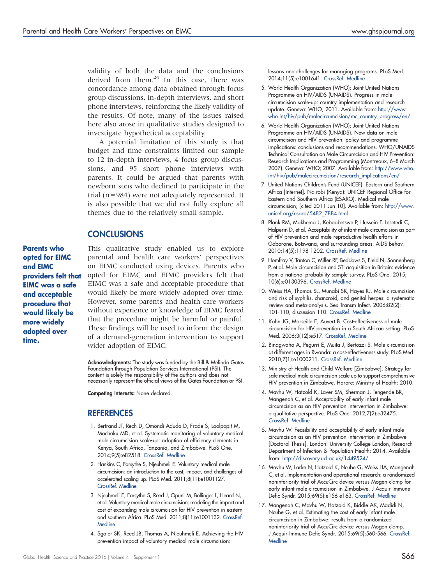validity of both the data and the conclusions derived from them. $24$  In this case, there was concordance among data obtained through focus group discussions, in-depth interviews, and short phone interviews, reinforcing the likely validity of the results. Of note, many of the issues raised here also arose in qualitative studies designed to investigate hypothetical acceptability.

A potential limitation of this study is that budget and time constraints limited our sample to 12 in-depth interviews, 4 focus group discussions, and 95 short phone interviews with parents. It could be argued that parents with newborn sons who declined to participate in the trial ( $n = 984$ ) were not adequately represented. It is also possible that we did not fully explore all themes due to the relatively small sample.

#### **CONCLUSIONS**

Parents who opted for EIMC and EIMC providers felt that EIMC was a safe and acceptable procedure that would likely be more widely adopted over time.

This qualitative study enabled us to explore parental and health care workers' perspectives on EIMC conducted using devices. Parents who opted for EIMC and EIMC providers felt that EIMC was a safe and acceptable procedure that would likely be more widely adopted over time. However, some parents and health care workers without experience or knowledge of EIMC feared that the procedure might be harmful or painful. These findings will be used to inform the design of a demand-generation intervention to support wider adoption of EIMC.

Acknowledgments: The study was funded by the Bill & Melinda Gates Foundation through Population Services International (PSI). The content is solely the responsibility of the authors and does not necessarily represent the official views of the Gates Foundation or PSI.

Competing Interests: None declared.

#### **REFERENCES**

- 1. Bertrand JT, Rech D, Omondi Aduda D, Frade S, Loolpapit M, Machaku MD, et al. Systematic monitoring of voluntary medical male circumcision scale-up: adoption of efficiency elements in Kenya, South Africa, Tanzania, and Zimbabwe. PLoS One. 2014;9(5):e82518. [CrossRef](http://dx.doi.org/10.9745/GHSP-D-15-00301). [Medline](http://dx.doi.org/10.1371/journal.pone.0082518)
- 2. Hankins C, Forsythe S, Njeuhmeli E. Voluntary medical male circumcision: an introduction to the cost, impact, and challenges of accelerated scaling up. PLoS Med. 2011;8(11):e1001127. [CrossRef](http://www.who.int/hiv/pub/malecircumcision/mc_country_progress/en/). [Medline](http://dx.doi.org/10.1371/journal.pmed.1001127)
- 3. Njeuhmeli E, Forsythe S, Reed J, Opuni M, Bollinger L, Heard N, et al. Voluntary medical male circumcision: modeling the impact and cost of expanding male circumcision for HIV prevention in eastern and southern Africa. PLoS Med. 2011;8(11):e1001132. [CrossRef.](http://www.who.int/hiv/pub/malecircumcision/research_implications/en/) **[Medline](http://dx.doi.org/10.1371/journal.pmed.1001132)**
- 4. Sgaier SK, Reed JB, Thomas A, Njeuhmeli E. Achieving the HIV prevention impact of voluntary medical male circumcision:

lessons and challenges for managing programs. PLoS Med. 2014;11(5):e1001641. [CrossRef.](http://www.unicef.org/esaro/5482_7884.html) [Medline](http://dx.doi.org/10.1371/journal.pmed.1001641)

- 5. World Health Organization (WHO); Joint United Nations Programme on HIV/AIDS (UNAIDS). Progress in male circumcision scale-up: country implementation and research update. Geneva: WHO; 2011. Available from: http://www. who.int/hiv/pub/malecircumcision/mc\_country\_progress/en/
- 6. World Health Organization (WHO); Joint United Nations Programme on HIV/AIDS (UNAIDS). New data on male circumcision and HIV prevention: policy and programme implications: conclusions and recommendations. WHO/UNAIDS Technical Consultation on Male Circumcision and HIV Prevention: Research Implications and Programming (Montreaux, 6–8 March 2007). Geneva: WHO; 2007. Available from: http://www.who. int/hiv/pub/malecircumcision/research\_implications/en/
- 7. United Nations Children's Fund (UNICEF): Eastern and Southern Africa [Internet]. Nairobi (Kenya): UNICEF Regional Office for Eastern and Southern Africa (ESARO). Medical male circumcision; [cited 2011 Jun 10]. Available from: http://www. unicef.org/esaro/5482\_7884.html
- 8. Plank RM, Makhema J, Kebaabetswe P, Hussein F, Lesetedi C, Halperin D, et al. Acceptability of infant male circumcision as part of HIV prevention and male reproductive health efforts in Gaborone, Botswana, and surrounding areas. AIDS Behav. 2010;14(5):1198-1202. [CrossRef.](http://discovery.ucl.ac.uk/1449524/) [Medline](http://dx.doi.org/10.1007/s10461-009-9632-0)
- 9. Homfray V, Tanton C, Miller RF, Beddows S, Field N, Sonnenberg P, et al. Male circumcision and STI acquisition in Britain: evidence from a national probability sample survey. PLoS One. 2015; 10(6):e0130396. [CrossRef.](http://www.who.int/hiv/pub/malecircumcision/manual_infant/en/) [Medline](http://dx.doi.org/10.1371/journal.pone.0130396)
- 10. Weiss HA, Thomas SL, Munabi SK, Hayes RJ. Male circumcision and risk of syphilis, chancroid, and genital herpes: a systematic review and meta-analysis. Sex Transm Infect. 2006;82(2): 101-110, discussion 110. CrossRef. [Medline](http://dx.doi.org/10.1136/sti.2005.017442)
- 11. Kahn JG, Marseille E, Auvert B. Cost-effectiveness of male circumcision for HIV prevention in a South African setting. PLoS Med. 2006;3(12):e517. CrossRef. [Medline](http://dx.doi.org/10.1371/journal.pmed.0030517)
- 12. Binagwaho A, Pegurri E, Muita J, Bertozzi S. Male circumcision at different ages in Rwanda: a cost-effectiveness study. PLoS Med. 2010;7(1):e1000211. CrossRef. [Medline](http://dx.doi.org/10.1371/journal.pmed.1000211)
- 13. Ministry of Health and Child Welfare [Zimbabwe]. Strategy for safe medical male circumcision scale up to support comprehensive HIV prevention in Zimbabwe. Harare: Ministry of Health; 2010.
- 14. Mavhu W, Hatzold K, Laver SM, Sherman J, Tengende BR, Mangenah C, et al. Acceptability of early infant male circumcision as an HIV prevention intervention in Zimbabwe: a qualitative perspective. PLoS One. 2012;7(2):e32475. CrossRef. [Medline](http://dx.doi.org/10.1371/journal.pone.0032475)
- 15. Mavhu W. Feasibility and acceptability of early infant male circumcision as an HIV prevention intervention in Zimbabwe [Doctoral Thesis]. London: University College London, Research Department of Infection & Population Health; 2014. Available from: http://discovery.ucl.ac.uk/1449524/
- 16. Mavhu W, Larke N, Hatzold K, Ncube G, Weiss HA, Mangenah C, et al. Implementation and operational research: a randomized noninferiority trial of AccuCirc device versus Mogen clamp for early infant male circumcision in Zimbabwe. J Acquir Immune Defic Syndr. 2015;69(5):e156-e163. CrossRef. [Medline](http://dx.doi.org/10.1097/QAI.0000000000000694)
- 17. Mangenah C, Mavhu W, Hatzold K, Biddle AK, Madidi N, Ncube G, et al. Estimating the cost of early infant male circumcision in Zimbabwe: results from a randomized noninferiority trial of AccuCirc device versus Mogen clamp. J Acquir Immune Defic Syndr. 2015;69(5):560-566. CrossRef. **[Medline](http://dx.doi.org/10.1097/QAI.0000000000000699)**